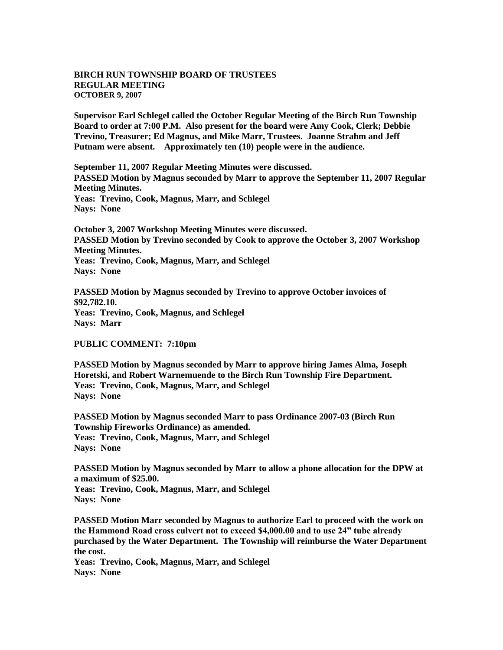## **BIRCH RUN TOWNSHIP BOARD OF TRUSTEES REGULAR MEETING OCTOBER 9, 2007**

**Supervisor Earl Schlegel called the October Regular Meeting of the Birch Run Township Board to order at 7:00 P.M. Also present for the board were Amy Cook, Clerk; Debbie Trevino, Treasurer; Ed Magnus, and Mike Marr, Trustees. Joanne Strahm and Jeff Putnam were absent. Approximately ten (10) people were in the audience.** 

**September 11, 2007 Regular Meeting Minutes were discussed. PASSED Motion by Magnus seconded by Marr to approve the September 11, 2007 Regular Meeting Minutes. Yeas: Trevino, Cook, Magnus, Marr, and Schlegel Nays: None** 

**October 3, 2007 Workshop Meeting Minutes were discussed. PASSED Motion by Trevino seconded by Cook to approve the October 3, 2007 Workshop Meeting Minutes. Yeas: Trevino, Cook, Magnus, Marr, and Schlegel Nays: None** 

**PASSED Motion by Magnus seconded by Trevino to approve October invoices of \$92,782.10. Yeas: Trevino, Cook, Magnus, and Schlegel Nays: Marr**

**PUBLIC COMMENT: 7:10pm**

**PASSED Motion by Magnus seconded by Marr to approve hiring James Alma, Joseph Horetski, and Robert Warnemuende to the Birch Run Township Fire Department. Yeas: Trevino, Cook, Magnus, Marr, and Schlegel Nays: None** 

**PASSED Motion by Magnus seconded Marr to pass Ordinance 2007-03 (Birch Run Township Fireworks Ordinance) as amended. Yeas: Trevino, Cook, Magnus, Marr, and Schlegel Nays: None** 

**PASSED Motion by Magnus seconded by Marr to allow a phone allocation for the DPW at a maximum of \$25.00.**

**Yeas: Trevino, Cook, Magnus, Marr, and Schlegel Nays: None** 

**PASSED Motion Marr seconded by Magnus to authorize Earl to proceed with the work on the Hammond Road cross culvert not to exceed \$4,000.00 and to use 24" tube already purchased by the Water Department. The Township will reimburse the Water Department the cost.** 

**Yeas: Trevino, Cook, Magnus, Marr, and Schlegel Nays: None**